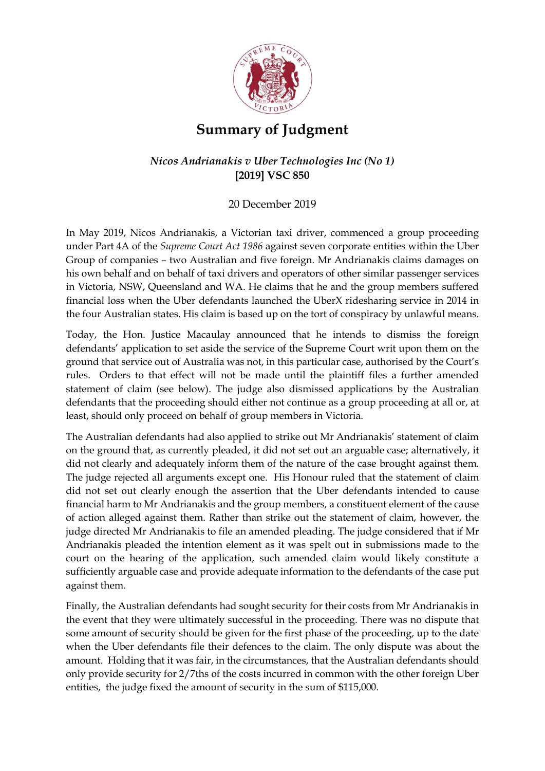

## **Summary of Judgment**

## *Nicos Andrianakis v Uber Technologies Inc (No 1)* **[2019] VSC 850**

## 20 December 2019

In May 2019, Nicos Andrianakis, a Victorian taxi driver, commenced a group proceeding under Part 4A of the *Supreme Court Act 1986* against seven corporate entities within the Uber Group of companies – two Australian and five foreign. Mr Andrianakis claims damages on his own behalf and on behalf of taxi drivers and operators of other similar passenger services in Victoria, NSW, Queensland and WA. He claims that he and the group members suffered financial loss when the Uber defendants launched the UberX ridesharing service in 2014 in the four Australian states. His claim is based up on the tort of conspiracy by unlawful means.

Today, the Hon. Justice Macaulay announced that he intends to dismiss the foreign defendants' application to set aside the service of the Supreme Court writ upon them on the ground that service out of Australia was not, in this particular case, authorised by the Court's rules. Orders to that effect will not be made until the plaintiff files a further amended statement of claim (see below). The judge also dismissed applications by the Australian defendants that the proceeding should either not continue as a group proceeding at all or, at least, should only proceed on behalf of group members in Victoria.

The Australian defendants had also applied to strike out Mr Andrianakis' statement of claim on the ground that, as currently pleaded, it did not set out an arguable case; alternatively, it did not clearly and adequately inform them of the nature of the case brought against them. The judge rejected all arguments except one. His Honour ruled that the statement of claim did not set out clearly enough the assertion that the Uber defendants intended to cause financial harm to Mr Andrianakis and the group members, a constituent element of the cause of action alleged against them. Rather than strike out the statement of claim, however, the judge directed Mr Andrianakis to file an amended pleading. The judge considered that if Mr Andrianakis pleaded the intention element as it was spelt out in submissions made to the court on the hearing of the application, such amended claim would likely constitute a sufficiently arguable case and provide adequate information to the defendants of the case put against them.

Finally, the Australian defendants had sought security for their costs from Mr Andrianakis in the event that they were ultimately successful in the proceeding. There was no dispute that some amount of security should be given for the first phase of the proceeding, up to the date when the Uber defendants file their defences to the claim. The only dispute was about the amount. Holding that it was fair, in the circumstances, that the Australian defendants should only provide security for 2/7ths of the costs incurred in common with the other foreign Uber entities, the judge fixed the amount of security in the sum of \$115,000.